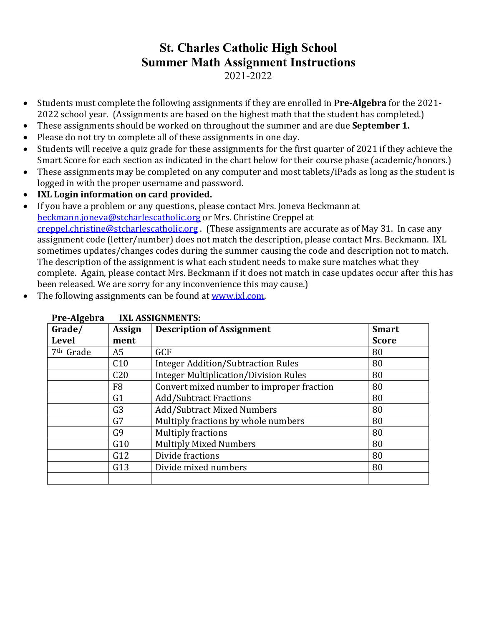- Students must complete the following assignments if they are enrolled in **Pre-Algebra** for the 2021-2022 school year. (Assignments are based on the highest math that the student has completed.)
- These assignments should be worked on throughout the summer and are due **September 1.**
- Please do not try to complete all of these assignments in one day.
- Students will receive a quiz grade for these assignments for the first quarter of 2021 if they achieve the Smart Score for each section as indicated in the chart below for their course phase (academic/honors.)
- These assignments may be completed on any computer and most tablets/iPads as long as the student is logged in with the proper username and password.
- IXL Login information on card provided.
- If you have a problem or any questions, please contact Mrs. Joneva Beckmann at beckmann.joneva@stcharlescatholic.org or Mrs. Christine Creppel at creppel.christine@stcharlescatholic.org. (These assignments are accurate as of May 31. In case any assignment code (letter/number) does not match the description, please contact Mrs. Beckmann. IXL sometimes updates/changes codes during the summer causing the code and description not to match. The description of the assignment is what each student needs to make sure matches what they complete. Again, please contact Mrs. Beckmann if it does not match in case updates occur after this has been released. We are sorry for any inconvenience this may cause.)
- The following assignments can be found at www.ixl.com.

| і і с-лівслі а        | ІЛЬ ЛЭЭГЧІЧІНЫ ГЭ. |                                              |              |
|-----------------------|--------------------|----------------------------------------------|--------------|
| Grade/                | Assign             | <b>Description of Assignment</b>             | <b>Smart</b> |
| <b>Level</b>          | ment               |                                              | <b>Score</b> |
| 7 <sup>th</sup> Grade | A5                 | <b>GCF</b>                                   | 80           |
|                       | C10                | <b>Integer Addition/Subtraction Rules</b>    | 80           |
|                       | C <sub>20</sub>    | <b>Integer Multiplication/Division Rules</b> | 80           |
|                       | F <sub>8</sub>     | Convert mixed number to improper fraction    | 80           |
|                       | G <sub>1</sub>     | <b>Add/Subtract Fractions</b>                | 80           |
|                       | G <sub>3</sub>     | <b>Add/Subtract Mixed Numbers</b>            | 80           |
|                       | G7                 | Multiply fractions by whole numbers          | 80           |
|                       | G <sub>9</sub>     | <b>Multiply fractions</b>                    | 80           |
|                       | G10                | <b>Multiply Mixed Numbers</b>                | 80           |
|                       | G12                | Divide fractions                             | 80           |
|                       | G13                | Divide mixed numbers                         | 80           |
|                       |                    |                                              |              |

## Pre-Algebra IXI ASSIGNMENTS.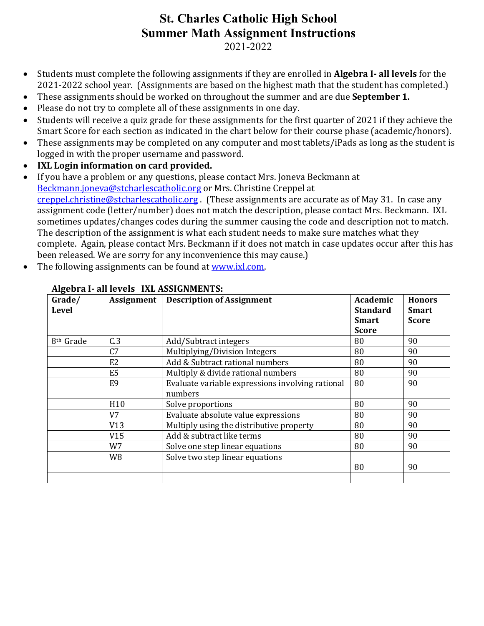2021-2022

- Students must complete the following assignments if they are enrolled in **Algebra I- all levels** for the 2021-2022 school year. (Assignments are based on the highest math that the student has completed.)
- These assignments should be worked on throughout the summer and are due **September 1.**
- Please do not try to complete all of these assignments in one day.
- Students will receive a quiz grade for these assignments for the first quarter of 2021 if they achieve the Smart Score for each section as indicated in the chart below for their course phase (academic/honors).
- These assignments may be completed on any computer and most tablets/iPads as long as the student is logged in with the proper username and password.
- **IXL Login information on card provided.**
- If you have a problem or any questions, please contact Mrs. Joneva Beckmann at Beckmann.joneva@stcharlescatholic.org or Mrs. Christine Creppel at creppel.christine@stcharlescatholic.org. (These assignments are accurate as of May 31. In case any assignment code (letter/number) does not match the description, please contact Mrs. Beckmann. IXL sometimes updates/changes codes during the summer causing the code and description not to match. The description of the assignment is what each student needs to make sure matches what they complete. Again, please contact Mrs. Beckmann if it does not match in case updates occur after this has been released. We are sorry for any inconvenience this may cause.)
- The following assignments can be found at www.ixl.com.

| Grade/<br><b>Level</b> | <b>Assignment</b> | <b>Description of Assignment</b>                 | Academic<br><b>Standard</b> | <b>Honors</b><br><b>Smart</b> |
|------------------------|-------------------|--------------------------------------------------|-----------------------------|-------------------------------|
|                        |                   |                                                  | <b>Smart</b>                | <b>Score</b>                  |
|                        |                   |                                                  | <b>Score</b>                |                               |
| 8 <sup>th</sup> Grade  | C.3               | Add/Subtract integers                            | 80                          | 90                            |
|                        | C7                | Multiplying/Division Integers                    | 80                          | 90                            |
|                        | E <sub>2</sub>    | Add & Subtract rational numbers                  | 80                          | 90                            |
|                        | E <sub>5</sub>    | Multiply & divide rational numbers               | 80                          | 90                            |
|                        | E <sub>9</sub>    | Evaluate variable expressions involving rational | 80                          | 90                            |
|                        |                   | numbers                                          |                             |                               |
|                        | H <sub>10</sub>   | Solve proportions                                | 80                          | 90                            |
|                        | V <sub>7</sub>    | Evaluate absolute value expressions              | 80                          | 90                            |
|                        | V13               | Multiply using the distributive property         | 80                          | 90                            |
|                        | V15               | Add & subtract like terms                        | 80                          | 90                            |
|                        | W7                | Solve one step linear equations                  | 80                          | 90                            |
|                        | W <sub>8</sub>    | Solve two step linear equations                  |                             |                               |
|                        |                   |                                                  | 80                          | 90                            |
|                        |                   |                                                  |                             |                               |

#### **Algebra I- all levels IXL ASSIGNMENTS:**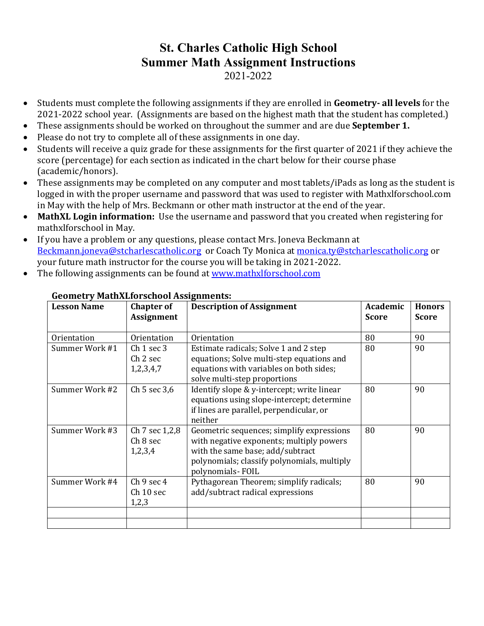- Students must complete the following assignments if they are enrolled in Geometry- all levels for the 2021-2022 school year. (Assignments are based on the highest math that the student has completed.)
- These assignments should be worked on throughout the summer and are due **September 1.**
- Please do not try to complete all of these assignments in one day.
- Students will receive a quiz grade for these assignments for the first quarter of 2021 if they achieve the score (percentage) for each section as indicated in the chart below for their course phase (academic/honors).
- These assignments may be completed on any computer and most tablets/iPads as long as the student is logged in with the proper username and password that was used to register with Mathxlforschool.com in May with the help of Mrs. Beckmann or other math instructor at the end of the year.
- MathXL Login information: Use the username and password that you created when registering for mathxlforschool in May.
- If you have a problem or any questions, please contact Mrs. Joneva Beckmann at Beckmann.joneva@stcharlescatholic.org or Coach Ty Monica at monica.ty@stcharlescatholic.org or your future math instructor for the course you will be taking in 2021-2022.
- The following assignments can be found at www.mathxlforschool.com

| <b>Lesson Name</b> | <b>Chapter of</b><br><b>Assignment</b>                    | <b>Description of Assignment</b>                                                                                                                                                             | Academic<br><b>Score</b> | <b>Honors</b><br><b>Score</b> |
|--------------------|-----------------------------------------------------------|----------------------------------------------------------------------------------------------------------------------------------------------------------------------------------------------|--------------------------|-------------------------------|
| Orientation        | Orientation                                               | Orientation                                                                                                                                                                                  | 80                       | 90                            |
| Summer Work #1     | Ch <sub>1</sub> sec 3<br>Ch <sub>2</sub> sec<br>1,2,3,4,7 | Estimate radicals; Solve 1 and 2 step<br>equations; Solve multi-step equations and<br>equations with variables on both sides;<br>solve multi-step proportions                                | 80                       | 90                            |
| Summer Work #2     | Ch 5 sec 3,6                                              | Identify slope & y-intercept; write linear<br>equations using slope-intercept; determine<br>if lines are parallel, perpendicular, or<br>neither                                              | 80                       | 90                            |
| Summer Work #3     | Ch 7 sec 1,2,8<br>Ch <sub>8</sub> sec<br>1,2,3,4          | Geometric sequences; simplify expressions<br>with negative exponents; multiply powers<br>with the same base; add/subtract<br>polynomials; classify polynomials, multiply<br>polynomials-FOIL | 80                       | 90                            |
| Summer Work #4     | Ch 9 sec 4<br>Ch 10 sec<br>1,2,3                          | Pythagorean Theorem; simplify radicals;<br>add/subtract radical expressions                                                                                                                  | 80                       | 90                            |
|                    |                                                           |                                                                                                                                                                                              |                          |                               |

## **Geometry MathXLforschool Assignments:**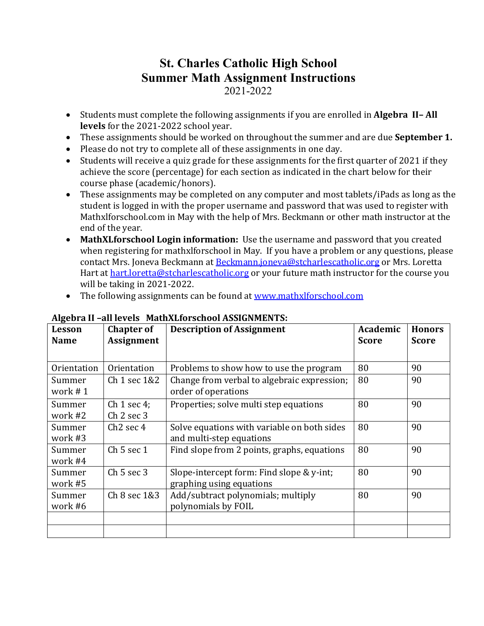- Students must complete the following assignments if you are enrolled in **Algebra II–All** levels for the 2021-2022 school year.
- These assignments should be worked on throughout the summer and are due **September 1.**
- Please do not try to complete all of these assignments in one day.
- Students will receive a quiz grade for these assignments for the first quarter of 2021 if they achieve the score (percentage) for each section as indicated in the chart below for their course phase (academic/honors).
- These assignments may be completed on any computer and most tablets/iPads as long as the student is logged in with the proper username and password that was used to register with Mathxlforschool.com in May with the help of Mrs. Beckmann or other math instructor at the end of the year.
- MathXLforschool Login information: Use the username and password that you created when registering for mathxlforschool in May. If you have a problem or any questions, please contact Mrs. Joneva Beckmann at Beckmann.joneva@stcharlescatholic.org or Mrs. Loretta Hart at hart.loretta@stcharlescatholic.org or your future math instructor for the course you will be taking in 2021-2022.
- The following assignments can be found at www.mathxlforschool.com

| Lesson               | <b>Chapter of</b>               | <b>Description of Assignment</b>                                        | Academic     | <b>Honors</b> |
|----------------------|---------------------------------|-------------------------------------------------------------------------|--------------|---------------|
| <b>Name</b>          | <b>Assignment</b>               |                                                                         | <b>Score</b> | <b>Score</b>  |
|                      |                                 |                                                                         |              |               |
| Orientation          | Orientation                     | Problems to show how to use the program                                 | 80           | 90            |
| Summer<br>work $# 1$ | Ch 1 sec 1&2                    | Change from verbal to algebraic expression;<br>order of operations      | 80           | 90            |
| Summer<br>work #2    | Ch $1$ sec $4$ ;<br>$Ch2$ sec 3 | Properties; solve multi step equations                                  | 80           | 90            |
| Summer<br>work #3    | $Ch2$ sec 4                     | Solve equations with variable on both sides<br>and multi-step equations | 80           | 90            |
| Summer<br>work #4    | Ch 5 sec 1                      | Find slope from 2 points, graphs, equations                             | 80           | 90            |
| Summer<br>work #5    | $Ch5$ sec 3                     | Slope-intercept form: Find slope & y-int;<br>graphing using equations   | 80           | 90            |
| Summer<br>work #6    | Ch 8 sec 1&3                    | Add/subtract polynomials; multiply<br>polynomials by FOIL               | 80           | 90            |
|                      |                                 |                                                                         |              |               |

### **Algebra II –all levels MathXLforschool ASSIGNMENTS:**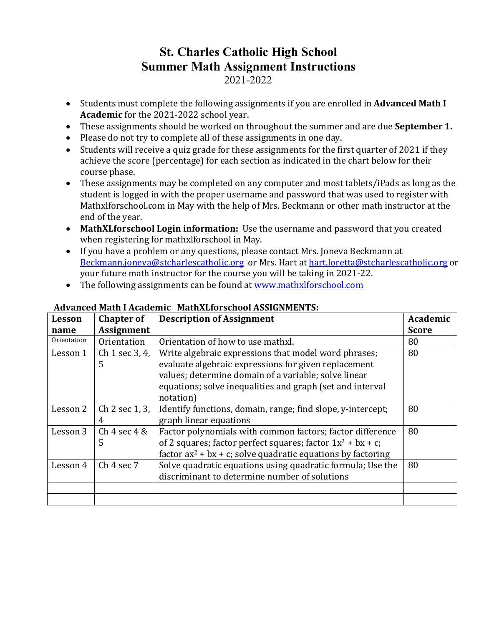- Students must complete the following assignments if you are enrolled in **Advanced Math I Academic** for the 2021-2022 school year.
- These assignments should be worked on throughout the summer and are due **September 1.**
- Please do not try to complete all of these assignments in one day.
- Students will receive a quiz grade for these assignments for the first quarter of 2021 if they achieve the score (percentage) for each section as indicated in the chart below for their course phase.
- These assignments may be completed on any computer and most tablets/iPads as long as the student is logged in with the proper username and password that was used to register with Mathxlforschool.com in May with the help of Mrs. Beckmann or other math instructor at the end of the year.
- MathXLforschool Login information: Use the username and password that you created when registering for mathxlforschool in May.
- If you have a problem or any questions, please contact Mrs. Joneva Beckmann at Beckmann.joneva@stcharlescatholic.org or Mrs. Hart at hart.loretta@stcharlescatholic.org or your future math instructor for the course you will be taking in 2021-22.
- The following assignments can be found at www.mathxlforschool.com

| Lesson      | <b>Chapter of</b>     | <b>Description of Assignment</b>                                | Academic     |
|-------------|-----------------------|-----------------------------------------------------------------|--------------|
| name        | <b>Assignment</b>     |                                                                 | <b>Score</b> |
| Orientation | Orientation           | Orientation of how to use mathxl.                               | 80           |
| Lesson 1    | Ch 1 sec 3, 4,        | Write algebraic expressions that model word phrases;            | 80           |
|             | 5                     | evaluate algebraic expressions for given replacement            |              |
|             |                       | values; determine domain of a variable; solve linear            |              |
|             |                       | equations; solve inequalities and graph (set and interval       |              |
|             |                       | notation)                                                       |              |
| Lesson 2    | Ch 2 sec 1, 3,        | Identify functions, domain, range; find slope, y-intercept;     | 80           |
|             | 4                     | graph linear equations                                          |              |
| Lesson 3    | Ch 4 sec 4 &          | Factor polynomials with common factors; factor difference       | 80           |
|             | 5                     | of 2 squares; factor perfect squares; factor $1x^2 + bx + c$ ;  |              |
|             |                       | factor $ax^2 + bx + c$ ; solve quadratic equations by factoring |              |
| Lesson 4    | Ch <sub>4</sub> sec 7 | Solve quadratic equations using quadratic formula; Use the      | 80           |
|             |                       | discriminant to determine number of solutions                   |              |
|             |                       |                                                                 |              |
|             |                       |                                                                 |              |

### **Advanced Math I Academic MathXLforschool ASSIGNMENTS:**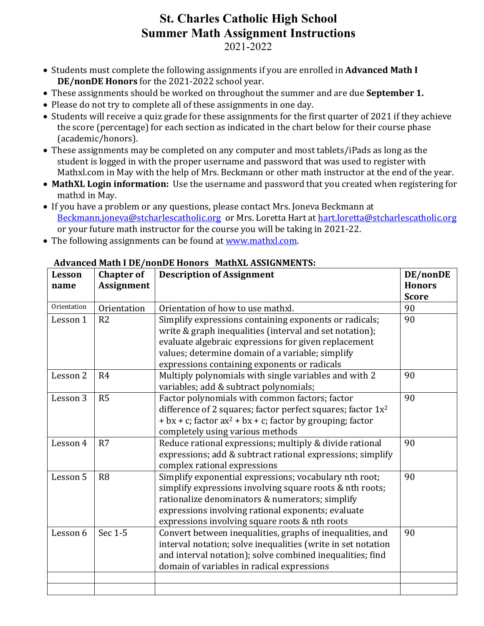2021-2022

- Students must complete the following assignments if you are enrolled in **Advanced Math I DE/nonDE Honors** for the 2021-2022 school year.
- These assignments should be worked on throughout the summer and are due **September 1.**
- Please do not try to complete all of these assignments in one day.
- Students will receive a quiz grade for these assignments for the first quarter of 2021 if they achieve the score (percentage) for each section as indicated in the chart below for their course phase (academic/honors).
- These assignments may be completed on any computer and most tablets/iPads as long as the student is logged in with the proper username and password that was used to register with Mathxl.com in May with the help of Mrs. Beckmann or other math instructor at the end of the year.
- MathXL Login information: Use the username and password that you created when registering for mathxl in May.
- If you have a problem or any questions, please contact Mrs. Joneva Beckmann at Beckmann.joneva@stcharlescatholic.org or Mrs. Loretta Hart at hart.loretta@stcharlescatholic.org or your future math instructor for the course you will be taking in 2021-22.
- The following assignments can be found at www.mathxl.com.

| Lesson      | <b>Chapter of</b> | <b>Description of Assignment</b>                               | DE/nonDE      |
|-------------|-------------------|----------------------------------------------------------------|---------------|
| name        | <b>Assignment</b> |                                                                | <b>Honors</b> |
|             |                   |                                                                | <b>Score</b>  |
| Orientation | Orientation       | Orientation of how to use mathxl.                              | 90            |
| Lesson 1    | R <sub>2</sub>    | Simplify expressions containing exponents or radicals;         | 90            |
|             |                   | write & graph inequalities (interval and set notation);        |               |
|             |                   | evaluate algebraic expressions for given replacement           |               |
|             |                   | values; determine domain of a variable; simplify               |               |
|             |                   | expressions containing exponents or radicals                   |               |
| Lesson 2    | R <sub>4</sub>    | Multiply polynomials with single variables and with 2          | 90            |
|             |                   | variables; add & subtract polynomials;                         |               |
| Lesson 3    | R5                | Factor polynomials with common factors; factor                 | 90            |
|             |                   | difference of 2 squares; factor perfect squares; factor $1x^2$ |               |
|             |                   | + bx + c; factor $ax^2$ + bx + c; factor by grouping; factor   |               |
|             |                   | completely using various methods                               |               |
| Lesson 4    | R7                | Reduce rational expressions; multiply & divide rational        | 90            |
|             |                   | expressions; add & subtract rational expressions; simplify     |               |
|             |                   | complex rational expressions                                   |               |
| Lesson 5    | R <sub>8</sub>    | Simplify exponential expressions; vocabulary nth root;         | 90            |
|             |                   | simplify expressions involving square roots & nth roots;       |               |
|             |                   | rationalize denominators & numerators; simplify                |               |
|             |                   | expressions involving rational exponents; evaluate             |               |
|             |                   | expressions involving square roots & nth roots                 |               |
| Lesson 6    | Sec 1-5           | Convert between inequalities, graphs of inequalities, and      | 90            |
|             |                   | interval notation; solve inequalities (write in set notation   |               |
|             |                   | and interval notation); solve combined inequalities; find      |               |
|             |                   | domain of variables in radical expressions                     |               |
|             |                   |                                                                |               |
|             |                   |                                                                |               |

## Advanced Math I DE/nonDE Honors MathXL ASSIGNMENTS: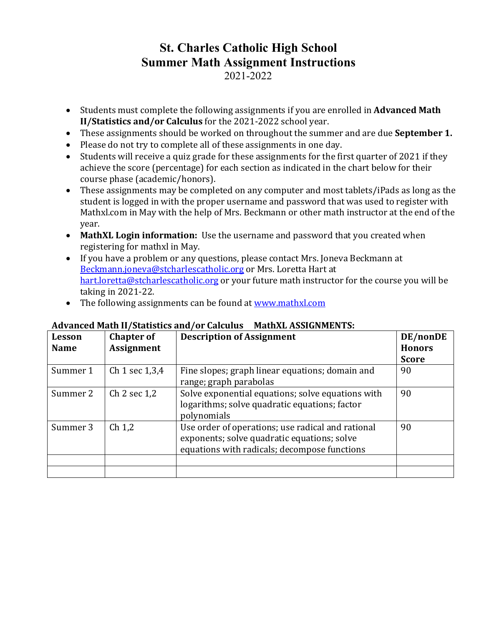- Students must complete the following assignments if you are enrolled in **Advanced Math II/Statistics and/or Calculus** for the 2021-2022 school year.
- These assignments should be worked on throughout the summer and are due **September 1.**
- Please do not try to complete all of these assignments in one day.
- Students will receive a quiz grade for these assignments for the first quarter of 2021 if they achieve the score (percentage) for each section as indicated in the chart below for their course phase (academic/honors).
- These assignments may be completed on any computer and most tablets/iPads as long as the student is logged in with the proper username and password that was used to register with Mathxl.com in May with the help of Mrs. Beckmann or other math instructor at the end of the year.
- MathXL Login information: Use the username and password that you created when registering for mathxl in May.
- If you have a problem or any questions, please contact Mrs. Joneva Beckmann at Beckmann.joneva@stcharlescatholic.org or Mrs. Loretta Hart at hart.loretta@stcharlescatholic.org or your future math instructor for the course you will be taking in 2021-22.
- The following assignments can be found at www.mathxl.com

| Lesson<br><b>Name</b> | <b>Chapter of</b><br><b>Assignment</b> | <b>Description of Assignment</b>                                                                                                                 | DE/nonDE<br><b>Honors</b> |
|-----------------------|----------------------------------------|--------------------------------------------------------------------------------------------------------------------------------------------------|---------------------------|
|                       |                                        |                                                                                                                                                  | <b>Score</b>              |
| Summer 1              | Ch 1 sec $1,3,4$                       | Fine slopes; graph linear equations; domain and<br>range; graph parabolas                                                                        | 90                        |
| Summer 2              | Ch 2 sec 1,2                           | Solve exponential equations; solve equations with<br>logarithms; solve quadratic equations; factor<br>polynomials                                | 90                        |
| Summer 3              | Ch <sub>1,2</sub>                      | Use order of operations; use radical and rational<br>exponents; solve quadratic equations; solve<br>equations with radicals; decompose functions | 90                        |
|                       |                                        |                                                                                                                                                  |                           |
|                       |                                        |                                                                                                                                                  |                           |

## Advanced Math II/Statistics and/or Calculus MathXL ASSIGNMENTS: